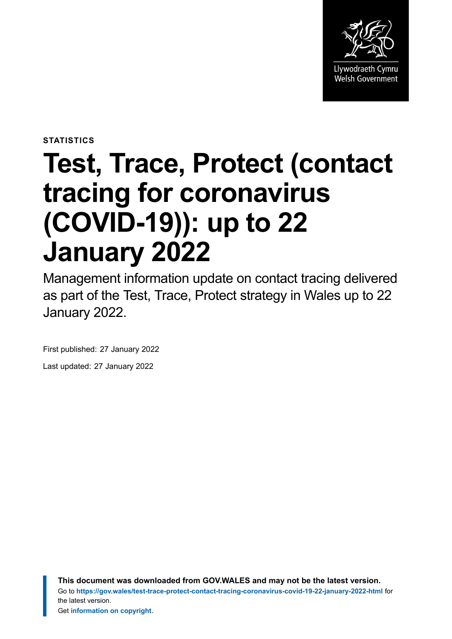

**STATISTICS**

# **Test, Trace, Protect (contact tracing for coronavirus (COVID-19)): up to 22 January 2022**

Management information update on contact tracing delivered as part of the Test, Trace, Protect strategy in Wales up to 22 January 2022.

First published: 27 January 2022 Last updated: 27 January 2022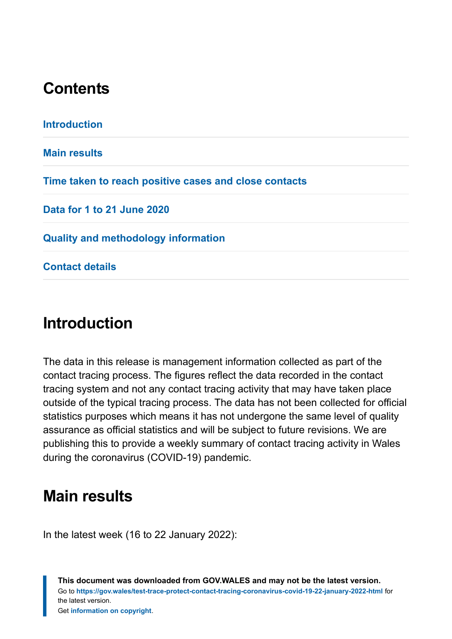# **Contents**

**[Introduction](#page-1-0) [Main results](#page-1-1) [Time taken to reach positive cases and close contacts](#page-7-0) [Data for 1 to 21 June 2020](#page-8-0) [Quality and methodology information](#page-9-0) [Contact details](#page-18-0)**

# <span id="page-1-0"></span>**Introduction**

The data in this release is management information collected as part of the contact tracing process. The figures reflect the data recorded in the contact tracing system and not any contact tracing activity that may have taken place outside of the typical tracing process. The data has not been collected for official statistics purposes which means it has not undergone the same level of quality assurance as official statistics and will be subject to future revisions. We are publishing this to provide a weekly summary of contact tracing activity in Wales during the coronavirus (COVID-19) pandemic.

# <span id="page-1-1"></span>**Main results**

In the latest week (16 to 22 January 2022):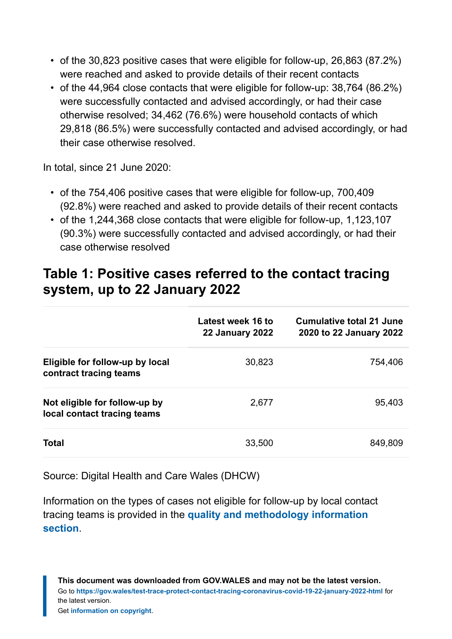- of the 30,823 positive cases that were eligible for follow-up, 26,863 (87.2%) were reached and asked to provide details of their recent contacts
- of the 44,964 close contacts that were eligible for follow-up: 38,764 (86.2%) were successfully contacted and advised accordingly, or had their case otherwise resolved; 34,462 (76.6%) were household contacts of which 29,818 (86.5%) were successfully contacted and advised accordingly, or had their case otherwise resolved.

In total, since 21 June 2020:

- of the 754,406 positive cases that were eligible for follow-up, 700,409 (92.8%) were reached and asked to provide details of their recent contacts
- of the 1,244,368 close contacts that were eligible for follow-up, 1,123,107 (90.3%) were successfully contacted and advised accordingly, or had their case otherwise resolved

## **Table 1: Positive cases referred to the contact tracing system, up to 22 January 2022**

|                                                              | Latest week 16 to<br><b>22 January 2022</b> | Cumulative total 21 June<br>2020 to 22 January 2022 |
|--------------------------------------------------------------|---------------------------------------------|-----------------------------------------------------|
| Eligible for follow-up by local<br>contract tracing teams    | 30,823                                      | 754,406                                             |
| Not eligible for follow-up by<br>local contact tracing teams | 2,677                                       | 95,403                                              |
| <b>Total</b>                                                 | 33,500                                      | 849,809                                             |

Source: Digital Health and Care Wales (DHCW)

Information on the types of cases not eligible for follow-up by local contact tracing teams is provided in the **[quality and methodology information](#page-9-0) [section](#page-9-0)**.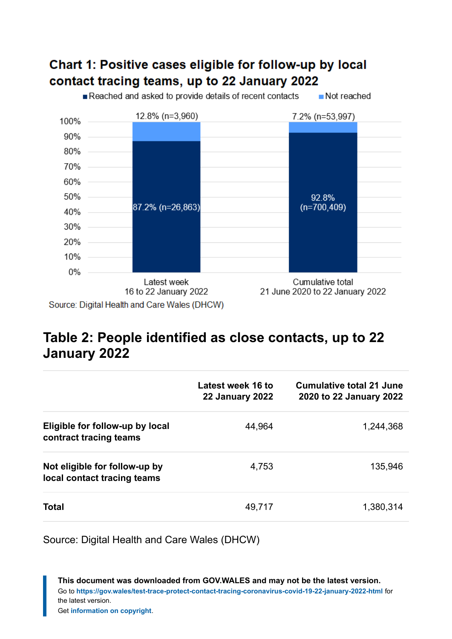### Chart 1: Positive cases eligible for follow-up by local contact tracing teams, up to 22 January 2022

Reached and asked to provide details of recent contacts Not reached



# **Table 2: People identified as close contacts, up to 22 January 2022**

|                                                              | Latest week 16 to<br><b>22 January 2022</b> | Cumulative total 21 June<br>2020 to 22 January 2022 |
|--------------------------------------------------------------|---------------------------------------------|-----------------------------------------------------|
| Eligible for follow-up by local<br>contract tracing teams    | 44,964                                      | 1,244,368                                           |
| Not eligible for follow-up by<br>local contact tracing teams | 4,753                                       | 135,946                                             |
| <b>Total</b>                                                 | 49,717                                      | 1,380,314                                           |

Source: Digital Health and Care Wales (DHCW)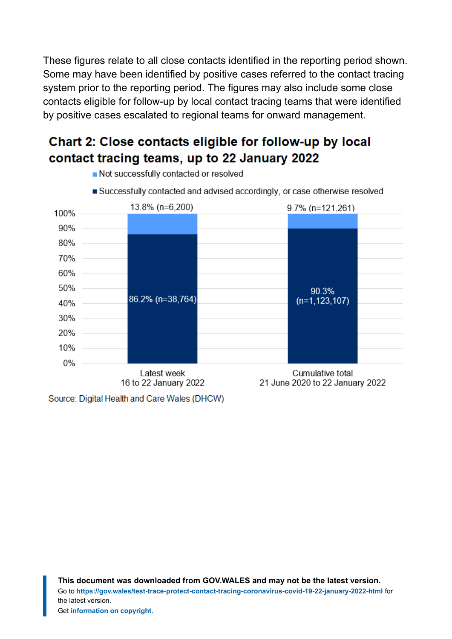These figures relate to all close contacts identified in the reporting period shown. Some may have been identified by positive cases referred to the contact tracing system prior to the reporting period. The figures may also include some close contacts eligible for follow-up by local contact tracing teams that were identified by positive cases escalated to regional teams for onward management.

## Chart 2: Close contacts eligible for follow-up by local contact tracing teams, up to 22 January 2022

Not successfully contacted or resolved



Source: Digital Health and Care Wales (DHCW)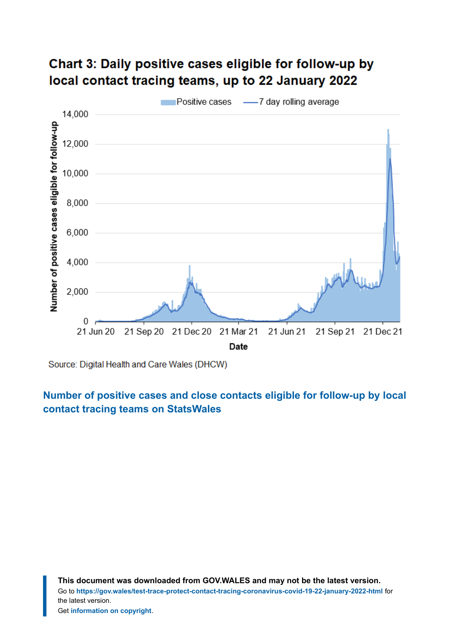## Chart 3: Daily positive cases eligible for follow-up by local contact tracing teams, up to 22 January 2022



Source: Digital Health and Care Wales (DHCW)

#### **[Number of positive cases and close contacts eligible for follow-up by local](https://statswales.gov.wales/Catalogue/Health-and-Social-Care/coronavirus-covid-19/contact-tracing-for-coronavirus-covid-19/numberofpositivecasesandclosecontactseligibleforfollowup-by-localcontacttracingteams) [contact tracing teams](https://statswales.gov.wales/Catalogue/Health-and-Social-Care/coronavirus-covid-19/contact-tracing-for-coronavirus-covid-19/numberofpositivecasesandclosecontactseligibleforfollowup-by-localcontacttracingteams) on StatsWales**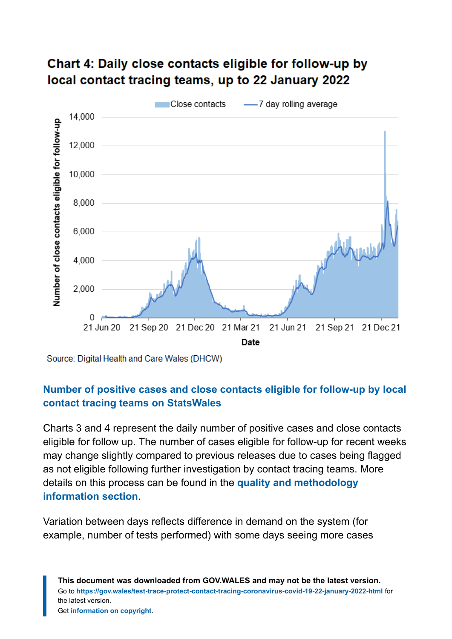

#### Chart 4: Daily close contacts eligible for follow-up by local contact tracing teams, up to 22 January 2022

Source: Digital Health and Care Wales (DHCW)

#### **[Number of positive cases and close contacts eligible for follow-up by local](https://statswales.gov.wales/Catalogue/Health-and-Social-Care/coronavirus-covid-19/contact-tracing-for-coronavirus-covid-19/numberofpositivecasesandclosecontactseligibleforfollowup-by-localcontacttracingteams) [contact tracing teams](https://statswales.gov.wales/Catalogue/Health-and-Social-Care/coronavirus-covid-19/contact-tracing-for-coronavirus-covid-19/numberofpositivecasesandclosecontactseligibleforfollowup-by-localcontacttracingteams) on StatsWales**

Charts 3 and 4 represent the daily number of positive cases and close contacts eligible for follow up. The number of cases eligible for follow-up for recent weeks may change slightly compared to previous releases due to cases being flagged as not eligible following further investigation by contact tracing teams. More details on this process can be found in the **[quality and methodology](#page-9-0) [information](#page-9-0) section**.

Variation between days reflects difference in demand on the system (for example, number of tests performed) with some days seeing more cases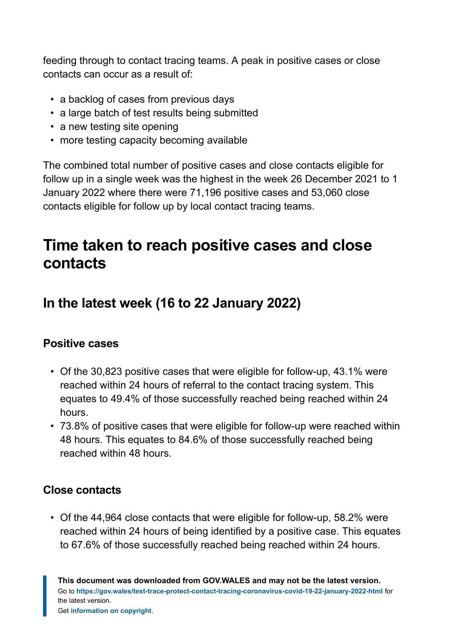feeding through to contact tracing teams. A peak in positive cases or close contacts can occur as a result of:

- a backlog of cases from previous days
- a large batch of test results being submitted
- a new testing site opening
- more testing capacity becoming available

The combined total number of positive cases and close contacts eligible for follow up in a single week was the highest in the week 26 December 2021 to 1 January 2022 where there were 71,196 positive cases and 53,060 close contacts eligible for follow up by local contact tracing teams.

# <span id="page-7-0"></span>**Time taken to reach positive cases and close contacts**

# **In the latest week (16 to 22 January 2022)**

#### **Positive cases**

- Of the 30,823 positive cases that were eligible for follow-up, 43.1% were reached within 24 hours of referral to the contact tracing system. This equates to 49.4% of those successfully reached being reached within 24 hours.
- 73.8% of positive cases that were eligible for follow-up were reached within 48 hours. This equates to 84.6% of those successfully reached being reached within 48 hours.

#### **Close contacts**

• Of the 44,964 close contacts that were eligible for follow-up, 58.2% were reached within 24 hours of being identified by a positive case. This equates to 67.6% of those successfully reached being reached within 24 hours.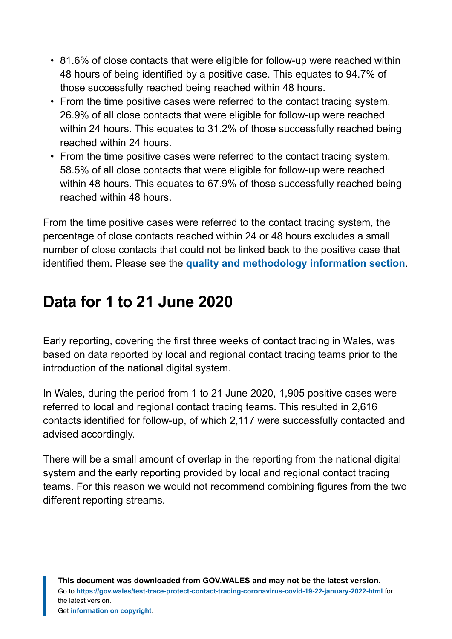- 81.6% of close contacts that were eligible for follow-up were reached within 48 hours of being identified by a positive case. This equates to 94.7% of those successfully reached being reached within 48 hours.
- From the time positive cases were referred to the contact tracing system, 26.9% of all close contacts that were eligible for follow-up were reached within 24 hours. This equates to 31.2% of those successfully reached being reached within 24 hours.
- From the time positive cases were referred to the contact tracing system, 58.5% of all close contacts that were eligible for follow-up were reached within 48 hours. This equates to 67.9% of those successfully reached being reached within 48 hours.

From the time positive cases were referred to the contact tracing system, the percentage of close contacts reached within 24 or 48 hours excludes a small number of close contacts that could not be linked back to the positive case that identified them. Please see the **[quality and methodology information](#page-9-0) section**.

# <span id="page-8-0"></span>**Data for 1 to 21 June 2020**

Early reporting, covering the first three weeks of contact tracing in Wales, was based on data reported by local and regional contact tracing teams prior to the introduction of the national digital system.

In Wales, during the period from 1 to 21 June 2020, 1,905 positive cases were referred to local and regional contact tracing teams. This resulted in 2,616 contacts identified for follow-up, of which 2,117 were successfully contacted and advised accordingly.

There will be a small amount of overlap in the reporting from the national digital system and the early reporting provided by local and regional contact tracing teams. For this reason we would not recommend combining figures from the two different reporting streams.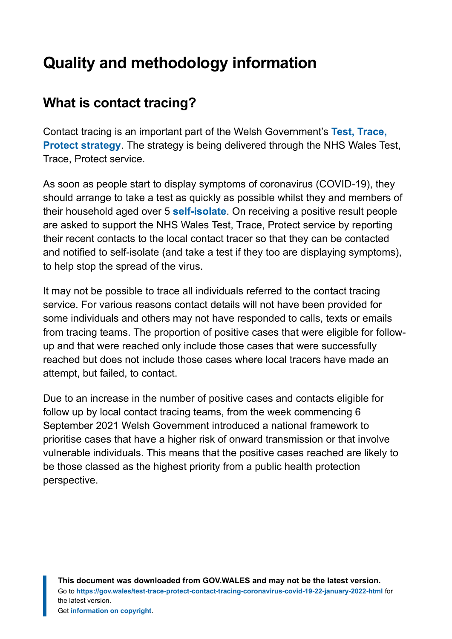# <span id="page-9-0"></span>**Quality and methodology information**

# **What is contact tracing?**

Contact tracing is an important part of the Welsh Government's **[Test, Trace,](https://gov.wales/test-trace-protect) [Protect strategy](https://gov.wales/test-trace-protect)**. The strategy is being delivered through the NHS Wales Test, Trace, Protect service.

As soon as people start to display symptoms of coronavirus (COVID-19), they should arrange to take a test as quickly as possible whilst they and members of their household aged over 5 **[self-isolate](https://gov.wales/self-isolation)**. On receiving a positive result people are asked to support the NHS Wales Test, Trace, Protect service by reporting their recent contacts to the local contact tracer so that they can be contacted and notified to self-isolate (and take a test if they too are displaying symptoms), to help stop the spread of the virus.

It may not be possible to trace all individuals referred to the contact tracing service. For various reasons contact details will not have been provided for some individuals and others may not have responded to calls, texts or emails from tracing teams. The proportion of positive cases that were eligible for followup and that were reached only include those cases that were successfully reached but does not include those cases where local tracers have made an attempt, but failed, to contact.

Due to an increase in the number of positive cases and contacts eligible for follow up by local contact tracing teams, from the week commencing 6 September 2021 Welsh Government introduced a national framework to prioritise cases that have a higher risk of onward transmission or that involve vulnerable individuals. This means that the positive cases reached are likely to be those classed as the highest priority from a public health protection perspective.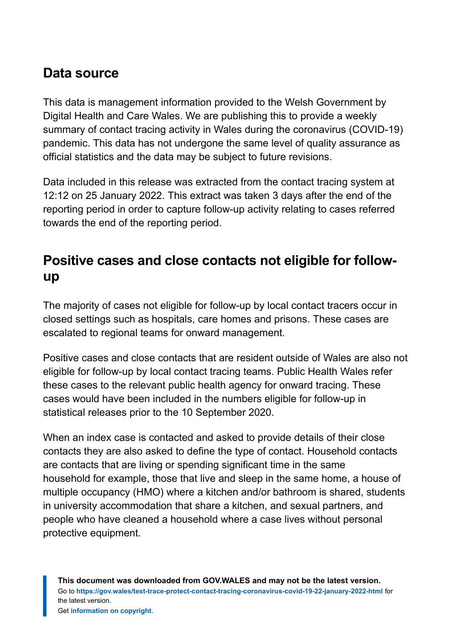## **Data source**

This data is management information provided to the Welsh Government by Digital Health and Care Wales. We are publishing this to provide a weekly summary of contact tracing activity in Wales during the coronavirus (COVID-19) pandemic. This data has not undergone the same level of quality assurance as official statistics and the data may be subject to future revisions.

Data included in this release was extracted from the contact tracing system at 12:12 on 25 January 2022. This extract was taken 3 days after the end of the reporting period in order to capture follow-up activity relating to cases referred towards the end of the reporting period.

# **Positive cases and close contacts not eligible for followup**

The majority of cases not eligible for follow-up by local contact tracers occur in closed settings such as hospitals, care homes and prisons. These cases are escalated to regional teams for onward management.

Positive cases and close contacts that are resident outside of Wales are also not eligible for follow-up by local contact tracing teams. Public Health Wales refer these cases to the relevant public health agency for onward tracing. These cases would have been included in the numbers eligible for follow-up in statistical releases prior to the 10 September 2020.

When an index case is contacted and asked to provide details of their close contacts they are also asked to define the type of contact. Household contacts are contacts that are living or spending significant time in the same household for example, those that live and sleep in the same home, a house of multiple occupancy (HMO) where a kitchen and/or bathroom is shared, students in university accommodation that share a kitchen, and sexual partners, and people who have cleaned a household where a case lives without personal protective equipment.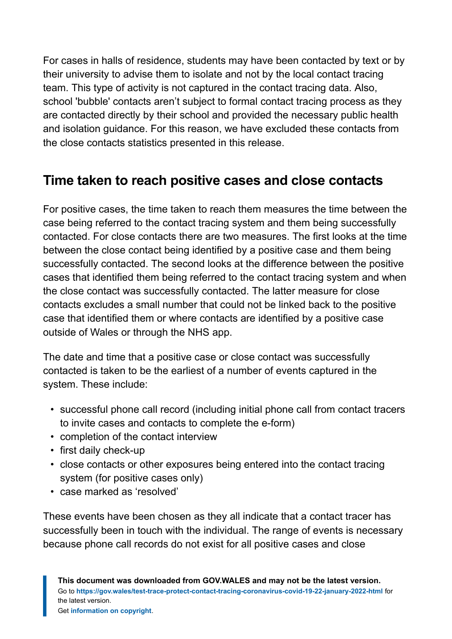For cases in halls of residence, students may have been contacted by text or by their university to advise them to isolate and not by the local contact tracing team. This type of activity is not captured in the contact tracing data. Also, school 'bubble' contacts aren't subject to formal contact tracing process as they are contacted directly by their school and provided the necessary public health and isolation guidance. For this reason, we have excluded these contacts from the close contacts statistics presented in this release.

# **Time taken to reach positive cases and close contacts**

For positive cases, the time taken to reach them measures the time between the case being referred to the contact tracing system and them being successfully contacted. For close contacts there are two measures. The first looks at the time between the close contact being identified by a positive case and them being successfully contacted. The second looks at the difference between the positive cases that identified them being referred to the contact tracing system and when the close contact was successfully contacted. The latter measure for close contacts excludes a small number that could not be linked back to the positive case that identified them or where contacts are identified by a positive case outside of Wales or through the NHS app.

The date and time that a positive case or close contact was successfully contacted is taken to be the earliest of a number of events captured in the system. These include:

- successful phone call record (including initial phone call from contact tracers to invite cases and contacts to complete the e-form)
- completion of the contact interview
- first daily check-up
- close contacts or other exposures being entered into the contact tracing system (for positive cases only)
- case marked as 'resolved'

These events have been chosen as they all indicate that a contact tracer has successfully been in touch with the individual. The range of events is necessary because phone call records do not exist for all positive cases and close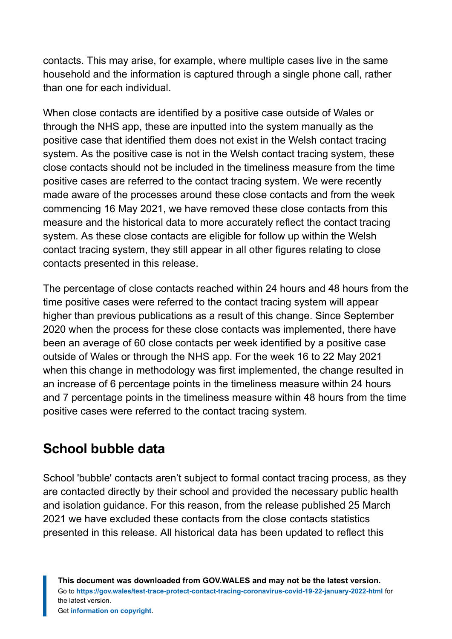contacts. This may arise, for example, where multiple cases live in the same household and the information is captured through a single phone call, rather than one for each individual.

When close contacts are identified by a positive case outside of Wales or through the NHS app, these are inputted into the system manually as the positive case that identified them does not exist in the Welsh contact tracing system. As the positive case is not in the Welsh contact tracing system, these close contacts should not be included in the timeliness measure from the time positive cases are referred to the contact tracing system. We were recently made aware of the processes around these close contacts and from the week commencing 16 May 2021, we have removed these close contacts from this measure and the historical data to more accurately reflect the contact tracing system. As these close contacts are eligible for follow up within the Welsh contact tracing system, they still appear in all other figures relating to close contacts presented in this release.

The percentage of close contacts reached within 24 hours and 48 hours from the time positive cases were referred to the contact tracing system will appear higher than previous publications as a result of this change. Since September 2020 when the process for these close contacts was implemented, there have been an average of 60 close contacts per week identified by a positive case outside of Wales or through the NHS app. For the week 16 to 22 May 2021 when this change in methodology was first implemented, the change resulted in an increase of 6 percentage points in the timeliness measure within 24 hours and 7 percentage points in the timeliness measure within 48 hours from the time positive cases were referred to the contact tracing system.

# **School bubble data**

School 'bubble' contacts aren't subject to formal contact tracing process, as they are contacted directly by their school and provided the necessary public health and isolation guidance. For this reason, from the release published 25 March 2021 we have excluded these contacts from the close contacts statistics presented in this release. All historical data has been updated to reflect this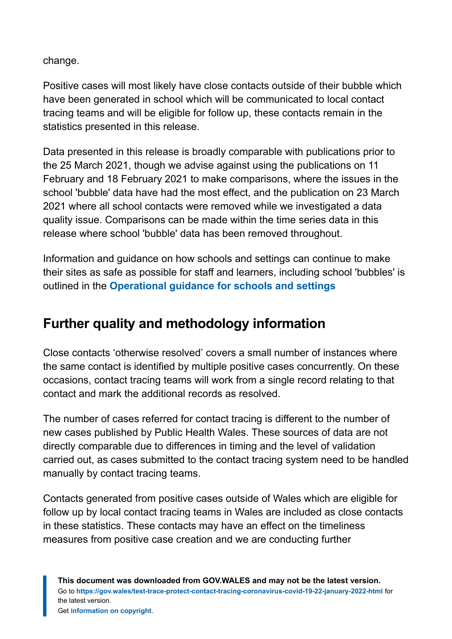change.

Positive cases will most likely have close contacts outside of their bubble which have been generated in school which will be communicated to local contact tracing teams and will be eligible for follow up, these contacts remain in the statistics presented in this release.

Data presented in this release is broadly comparable with publications prior to the 25 March 2021, though we advise against using the publications on 11 February and 18 February 2021 to make comparisons, where the issues in the school 'bubble' data have had the most effect, and the publication on 23 March 2021 where all school contacts were removed while we investigated a data quality issue. Comparisons can be made within the time series data in this release where school 'bubble' data has been removed throughout.

Information and guidance on how schools and settings can continue to make their sites as safe as possible for staff and learners, including school 'bubbles' is outlined in the **[Operational guidance for schools and settings](https://gov.wales/node/38016)**

# **Further quality and methodology information**

Close contacts 'otherwise resolved' covers a small number of instances where the same contact is identified by multiple positive cases concurrently. On these occasions, contact tracing teams will work from a single record relating to that contact and mark the additional records as resolved.

The number of cases referred for contact tracing is different to the number of new cases published by Public Health Wales. These sources of data are not directly comparable due to differences in timing and the level of validation carried out, as cases submitted to the contact tracing system need to be handled manually by contact tracing teams.

Contacts generated from positive cases outside of Wales which are eligible for follow up by local contact tracing teams in Wales are included as close contacts in these statistics. These contacts may have an effect on the timeliness measures from positive case creation and we are conducting further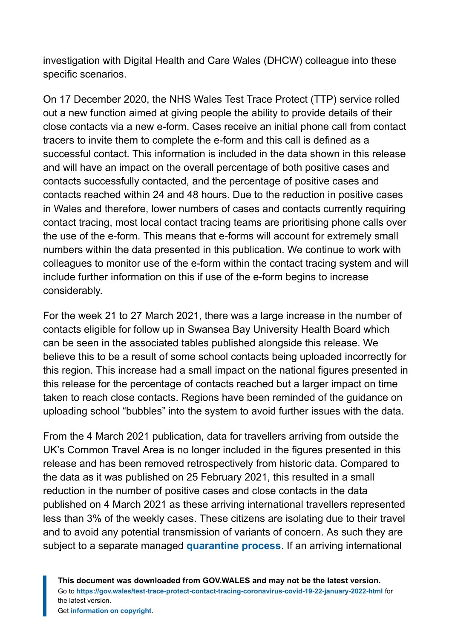investigation with Digital Health and Care Wales (DHCW) colleague into these specific scenarios.

On 17 December 2020, the NHS Wales Test Trace Protect (TTP) service rolled out a new function aimed at giving people the ability to provide details of their close contacts via a new e-form. Cases receive an initial phone call from contact tracers to invite them to complete the e-form and this call is defined as a successful contact. This information is included in the data shown in this release and will have an impact on the overall percentage of both positive cases and contacts successfully contacted, and the percentage of positive cases and contacts reached within 24 and 48 hours. Due to the reduction in positive cases in Wales and therefore, lower numbers of cases and contacts currently requiring contact tracing, most local contact tracing teams are prioritising phone calls over the use of the e-form. This means that e-forms will account for extremely small numbers within the data presented in this publication. We continue to work with colleagues to monitor use of the e-form within the contact tracing system and will include further information on this if use of the e-form begins to increase considerably.

For the week 21 to 27 March 2021, there was a large increase in the number of contacts eligible for follow up in Swansea Bay University Health Board which can be seen in the associated tables published alongside this release. We believe this to be a result of some school contacts being uploaded incorrectly for this region. This increase had a small impact on the national figures presented in this release for the percentage of contacts reached but a larger impact on time taken to reach close contacts. Regions have been reminded of the guidance on uploading school "bubbles" into the system to avoid further issues with the data.

From the 4 March 2021 publication, data for travellers arriving from outside the UK's Common Travel Area is no longer included in the figures presented in this release and has been removed retrospectively from historic data. Compared to the data as it was published on 25 February 2021, this resulted in a small reduction in the number of positive cases and close contacts in the data published on 4 March 2021 as these arriving international travellers represented less than 3% of the weekly cases. These citizens are isolating due to their travel and to avoid any potential transmission of variants of concern. As such they are subject to a separate managed **[quarantine process](https://gov.wales/how-isolate-when-you-travel-wales-coronavirus-covid-19)**. If an arriving international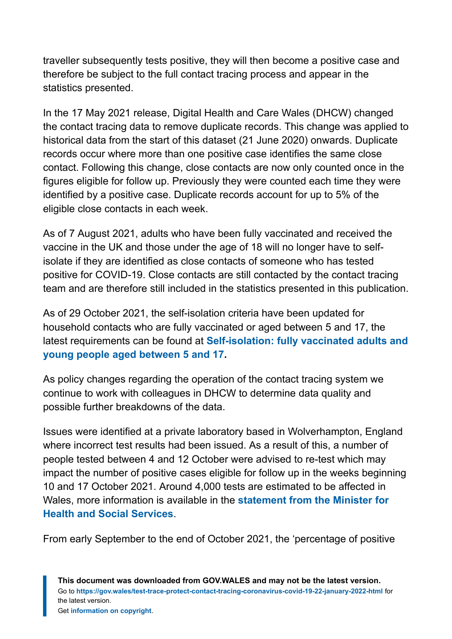traveller subsequently tests positive, they will then become a positive case and therefore be subject to the full contact tracing process and appear in the statistics presented.

In the 17 May 2021 release, Digital Health and Care Wales (DHCW) changed the contact tracing data to remove duplicate records. This change was applied to historical data from the start of this dataset (21 June 2020) onwards. Duplicate records occur where more than one positive case identifies the same close contact. Following this change, close contacts are now only counted once in the figures eligible for follow up. Previously they were counted each time they were identified by a positive case. Duplicate records account for up to 5% of the eligible close contacts in each week.

As of 7 August 2021, adults who have been fully vaccinated and received the vaccine in the UK and those under the age of 18 will no longer have to selfisolate if they are identified as close contacts of someone who has tested positive for COVID-19. Close contacts are still contacted by the contact tracing team and are therefore still included in the statistics presented in this publication.

As of 29 October 2021, the self-isolation criteria have been updated for household contacts who are fully vaccinated or aged between 5 and 17, the latest requirements can be found at **[Self-isolation: fully vaccinated adults and](https://eur01.safelinks.protection.outlook.com/?url=https%3A%2F%2Fgov.wales%2Fself-isolation%23section-83759&data=04%7C01%7CLisa.Bloemberg%40gov.wales%7C11b24c7619744c4b4b8608d9db45efb8%7Ca2cc36c592804ae78887d06dab89216b%7C0%7C0%7C637781915677040668%7CUnknown%7CTWFpbGZsb3d8eyJWIjoiMC4wLjAwMDAiLCJQIjoiV2luMzIiLCJBTiI6Ik1haWwiLCJXVCI6Mn0%3D%7C3000&sdata=OXcmQPRh7n3HA4acgO3apukDA8uXLR%2FRd019fXbuP7I%3D&reserved=0) [young people aged between 5 and 17](https://eur01.safelinks.protection.outlook.com/?url=https%3A%2F%2Fgov.wales%2Fself-isolation%23section-83759&data=04%7C01%7CLisa.Bloemberg%40gov.wales%7C11b24c7619744c4b4b8608d9db45efb8%7Ca2cc36c592804ae78887d06dab89216b%7C0%7C0%7C637781915677040668%7CUnknown%7CTWFpbGZsb3d8eyJWIjoiMC4wLjAwMDAiLCJQIjoiV2luMzIiLCJBTiI6Ik1haWwiLCJXVCI6Mn0%3D%7C3000&sdata=OXcmQPRh7n3HA4acgO3apukDA8uXLR%2FRd019fXbuP7I%3D&reserved=0).**

As policy changes regarding the operation of the contact tracing system we continue to work with colleagues in DHCW to determine data quality and possible further breakdowns of the data.

Issues were identified at a private laboratory based in Wolverhampton, England where incorrect test results had been issued. As a result of this, a number of people tested between 4 and 12 October were advised to re-test which may impact the number of positive cases eligible for follow up in the weeks beginning 10 and 17 October 2021. Around 4,000 tests are estimated to be affected in Wales, more information is available in the **[statement from the Minister for](https://gov.wales/written-statement-has-issued-update-welsh-residents-impacted-incorrect-covid-19-test-results) [Health and Social Services](https://gov.wales/written-statement-has-issued-update-welsh-residents-impacted-incorrect-covid-19-test-results)**.

From early September to the end of October 2021, the 'percentage of positive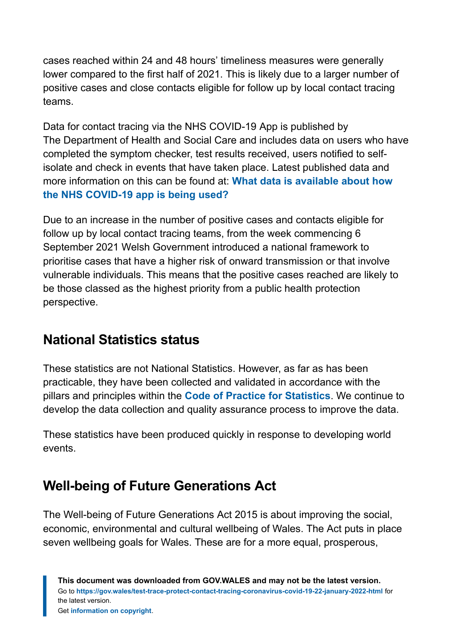cases reached within 24 and 48 hours' timeliness measures were generally lower compared to the first half of 2021. This is likely due to a larger number of positive cases and close contacts eligible for follow up by local contact tracing teams.

Data for contact tracing via the NHS COVID-19 App is published by The Department of Health and Social Care and includes data on users who have completed the symptom checker, test results received, users notified to selfisolate and check in events that have taken place. Latest published data and more information on this can be found at: **[What data is available about how](https://faq.covid19.nhs.uk/article/KA-01367) [the NHS COVID-19 app is being used?](https://faq.covid19.nhs.uk/article/KA-01367)**

Due to an increase in the number of positive cases and contacts eligible for follow up by local contact tracing teams, from the week commencing 6 September 2021 Welsh Government introduced a national framework to prioritise cases that have a higher risk of onward transmission or that involve vulnerable individuals. This means that the positive cases reached are likely to be those classed as the highest priority from a public health protection perspective.

# **National Statistics status**

These statistics are not National Statistics. However, as far as has been practicable, they have been collected and validated in accordance with the pillars and principles within the **[Code of Practice for Statistics](https://code.statisticsauthority.gov.uk/)**. We continue to develop the data collection and quality assurance process to improve the data.

These statistics have been produced quickly in response to developing world events.

# **Well-being of Future Generations Act**

The Well-being of Future Generations Act 2015 is about improving the social, economic, environmental and cultural wellbeing of Wales. The Act puts in place seven wellbeing goals for Wales. These are for a more equal, prosperous,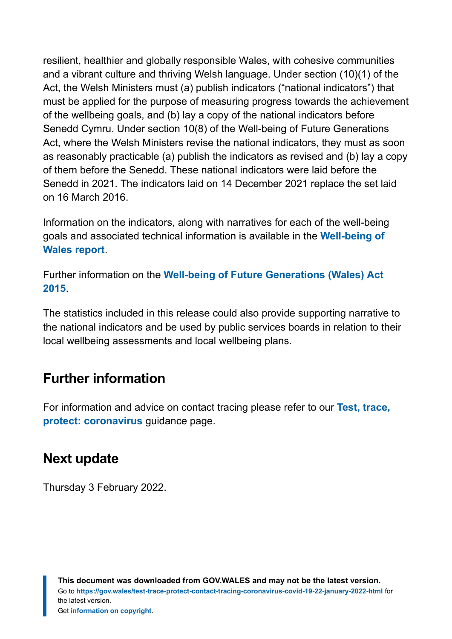resilient, healthier and globally responsible Wales, with cohesive communities and a vibrant culture and thriving Welsh language. Under section (10)(1) of the Act, the Welsh Ministers must (a) publish indicators ("national indicators") that must be applied for the purpose of measuring progress towards the achievement of the wellbeing goals, and (b) lay a copy of the national indicators before Senedd Cymru. Under section 10(8) of the Well-being of Future Generations Act, where the Welsh Ministers revise the national indicators, they must as soon as reasonably practicable (a) publish the indicators as revised and (b) lay a copy of them before the Senedd. These national indicators were laid before the Senedd in 2021. The indicators laid on 14 December 2021 replace the set laid on 16 March 2016.

Information on the indicators, along with narratives for each of the well-being goals and associated technical information is available in the **[Well-being of](https://gov.wales/wellbeing-wales) [Wales report](https://gov.wales/wellbeing-wales)**.

Further information on the **[Well-being of Future Generations \(Wales\) Act](https://gov.wales/well-being-future-generations-wales-act-2015-guidance) [2015](https://gov.wales/well-being-future-generations-wales-act-2015-guidance)**.

The statistics included in this release could also provide supporting narrative to the national indicators and be used by public services boards in relation to their local wellbeing assessments and local wellbeing plans.

## **Further information**

For information and advice on contact tracing please refer to our **[Test, trace,](https://gov.wales/test-trace-protect-coronavirus) [protect: coronavirus](https://gov.wales/test-trace-protect-coronavirus)** guidance page.

## **Next update**

Thursday 3 February 2022.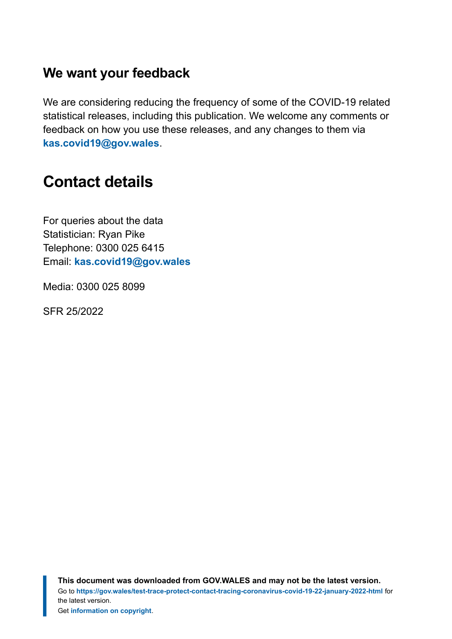#### **We want your feedback**

We are considering reducing the frequency of some of the COVID-19 related statistical releases, including this publication. We welcome any comments or feedback on how you use these releases, and any changes to them via **[kas.covid19@gov.wales](mailto:KAS.COVID19@gov.wales)**.

# <span id="page-18-0"></span>**Contact details**

For queries about the data Statistician: Ryan Pike Telephone: 0300 025 6415 Email: **[kas.covid19@gov.wales](mailto:kas.covid19@gov.wales)**

Media: 0300 025 8099

SFR 25/2022